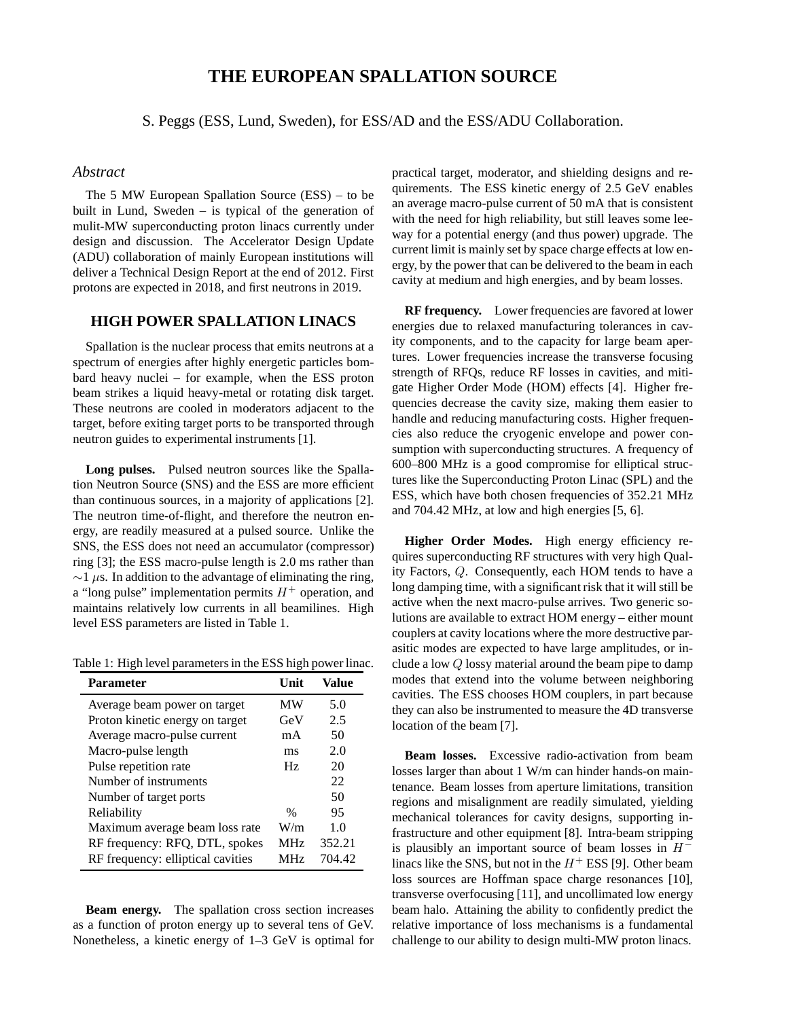# **THE EUROPEAN SPALLATION SOURCE**

S. Peggs (ESS, Lund, Sweden), for ESS/AD and the ESS/ADU Collaboration.

#### *Abstract*

The 5 MW European Spallation Source (ESS) – to be built in Lund, Sweden – is typical of the generation of mulit-MW superconducting proton linacs currently under design and discussion. The Accelerator Design Update (ADU) collaboration of mainly European institutions will deliver a Technical Design Report at the end of 2012. First protons are expected in 2018, and first neutrons in 2019.

#### **HIGH POWER SPALLATION LINACS**

Spallation is the nuclear process that emits neutrons at a spectrum of energies after highly energetic particles bombard heavy nuclei – for example, when the ESS proton beam strikes a liquid heavy-metal or rotating disk target. These neutrons are cooled in moderators adjacent to the target, before exiting target ports to be transported through neutron guides to experimental instruments [1].

**Long pulses.** Pulsed neutron sources like the Spallation Neutron Source (SNS) and the ESS are more efficient than continuous sources, in a majority of applications [2]. The neutron time-of-flight, and therefore the neutron energy, are readily measured at a pulsed source. Unlike the SNS, the ESS does not need an accumulator (compressor) ring [3]; the ESS macro-pulse length is 2.0 ms rather than  $\sim$ 1 µs. In addition to the advantage of eliminating the ring, a "long pulse" implementation permits  $H^+$  operation, and maintains relatively low currents in all beamilines. High level ESS parameters are listed in Table 1.

Table 1: High level parameters in the ESS high power linac.

| <b>Parameter</b>                  | <b>Unit</b>     | Value  |
|-----------------------------------|-----------------|--------|
| Average beam power on target      | MW              | 5.0    |
| Proton kinetic energy on target   | GeV             | 2.5    |
| Average macro-pulse current       | mA              | 50     |
| Macro-pulse length                | ms              | 2.0    |
| Pulse repetition rate             | Hz              | 20     |
| Number of instruments             |                 | 22     |
| Number of target ports            |                 | 50     |
| Reliability                       | $\%$            | 95     |
| Maximum average beam loss rate    | W/m             | 1.0    |
| RF frequency: RFQ, DTL, spokes    | <b>MHz</b>      | 352.21 |
| RF frequency: elliptical cavities | MH <sub>z</sub> | 704.42 |

**Beam energy.** The spallation cross section increases as a function of proton energy up to several tens of GeV. Nonetheless, a kinetic energy of 1–3 GeV is optimal for practical target, moderator, and shielding designs and requirements. The ESS kinetic energy of 2.5 GeV enables an average macro-pulse current of 50 mA that is consistent with the need for high reliability, but still leaves some leeway for a potential energy (and thus power) upgrade. The current limit is mainly set by space charge effects at low energy, by the power that can be delivered to the beam in each cavity at medium and high energies, and by beam losses.

**RF frequency.** Lower frequencies are favored at lower energies due to relaxed manufacturing tolerances in cavity components, and to the capacity for large beam apertures. Lower frequencies increase the transverse focusing strength of RFQs, reduce RF losses in cavities, and mitigate Higher Order Mode (HOM) effects [4]. Higher frequencies decrease the cavity size, making them easier to handle and reducing manufacturing costs. Higher frequencies also reduce the cryogenic envelope and power consumption with superconducting structures. A frequency of 600–800 MHz is a good compromise for elliptical structures like the Superconducting Proton Linac (SPL) and the ESS, which have both chosen frequencies of 352.21 MHz and 704.42 MHz, at low and high energies [5, 6].

**Higher Order Modes.** High energy efficiency requires superconducting RF structures with very high Quality Factors, Q. Consequently, each HOM tends to have a long damping time, with a significant risk that it will still be active when the next macro-pulse arrives. Two generic solutions are available to extract HOM energy – either mount couplers at cavity locations where the more destructive parasitic modes are expected to have large amplitudes, or include a low Q lossy material around the beam pipe to damp modes that extend into the volume between neighboring cavities. The ESS chooses HOM couplers, in part because they can also be instrumented to measure the 4D transverse location of the beam [7].

**Beam losses.** Excessive radio-activation from beam losses larger than about 1 W/m can hinder hands-on maintenance. Beam losses from aperture limitations, transition regions and misalignment are readily simulated, yielding mechanical tolerances for cavity designs, supporting infrastructure and other equipment [8]. Intra-beam stripping is plausibly an important source of beam losses in  $H^$ linacs like the SNS, but not in the  $H^+$  ESS [9]. Other beam loss sources are Hoffman space charge resonances [10], transverse overfocusing [11], and uncollimated low energy beam halo. Attaining the ability to confidently predict the relative importance of loss mechanisms is a fundamental challenge to our ability to design multi-MW proton linacs.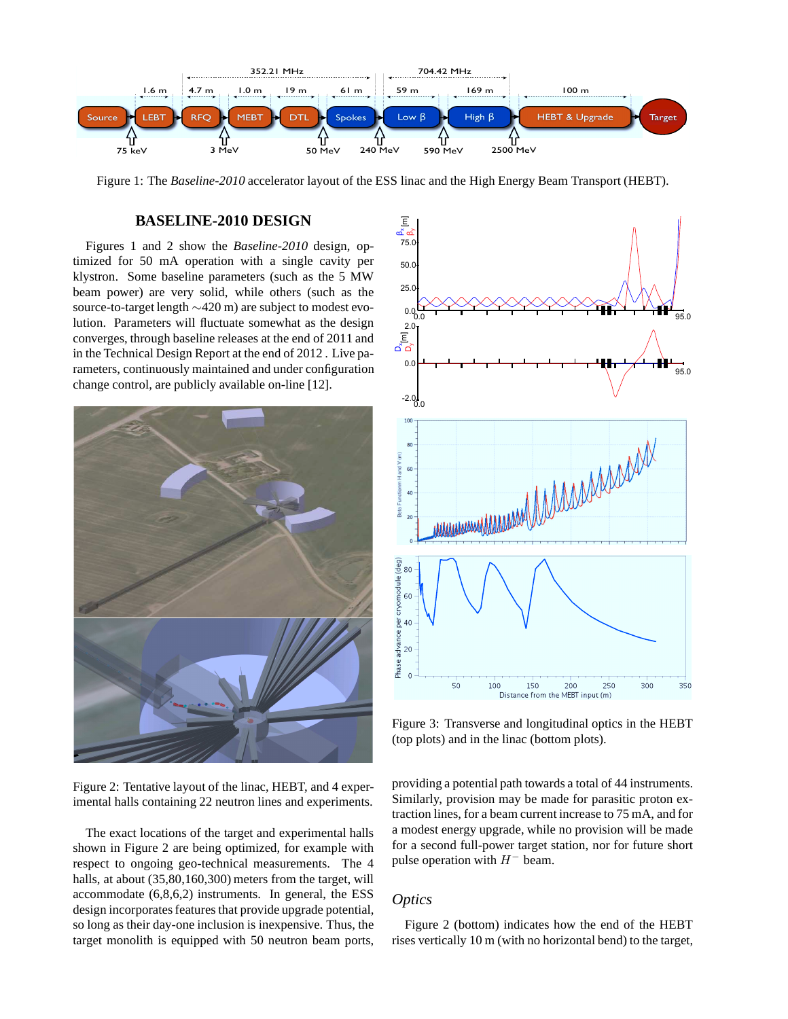

Figure 1: The *Baseline-2010* accelerator layout of the ESS linac and the High Energy Beam Transport (HEBT).

# **BASELINE-2010 DESIGN**

Figures 1 and 2 show the *Baseline-2010* design, optimized for 50 mA operation with a single cavity per klystron. Some baseline parameters (such as the 5 MW beam power) are very solid, while others (such as the source-to-target length ∼420 m) are subject to modest evolution. Parameters will fluctuate somewhat as the design converges, through baseline releases at the end of 2011 and in the Technical Design Report at the end of 2012 . Live parameters, continuously maintained and under configuration change control, are publicly available on-line [12].



Figure 2: Tentative layout of the linac, HEBT, and 4 experimental halls containing 22 neutron lines and experiments.

The exact locations of the target and experimental halls shown in Figure 2 are being optimized, for example with respect to ongoing geo-technical measurements. The 4 halls, at about  $(35,80,160,300)$  meters from the target, will accommodate (6,8,6,2) instruments. In general, the ESS design incorporates features that provide upgrade potential, so long as their day-one inclusion is inexpensive. Thus, the target monolith is equipped with 50 neutron beam ports,



Figure 3: Transverse and longitudinal optics in the HEBT (top plots) and in the linac (bottom plots).

providing a potential path towards a total of 44 instruments. Similarly, provision may be made for parasitic proton extraction lines, for a beam current increase to 75 mA, and for a modest energy upgrade, while no provision will be made for a second full-power target station, nor for future short pulse operation with  $H^-$  beam.

# *Optics*

Figure 2 (bottom) indicates how the end of the HEBT rises vertically 10 m (with no horizontal bend) to the target,